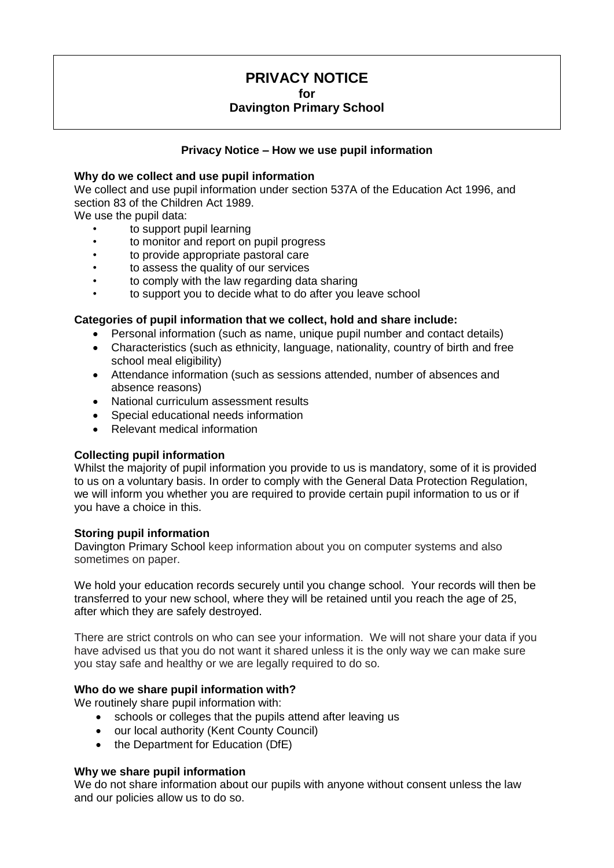# **PRIVACY NOTICE**

**for**

## **Davington Primary School**

## **Privacy Notice – How we use pupil information**

#### **Why do we collect and use pupil information**

We collect and use pupil information under section 537A of the Education Act 1996, and section 83 of the Children Act 1989.

We use the pupil data:

- to support pupil learning
- to monitor and report on pupil progress
- to provide appropriate pastoral care
- to assess the quality of our services
- to comply with the law regarding data sharing
- to support you to decide what to do after you leave school

## **Categories of pupil information that we collect, hold and share include:**

- Personal information (such as name, unique pupil number and contact details)
- Characteristics (such as ethnicity, language, nationality, country of birth and free school meal eligibility)
- Attendance information (such as sessions attended, number of absences and absence reasons)
- National curriculum assessment results
- Special educational needs information
- Relevant medical information

#### **Collecting pupil information**

Whilst the majority of pupil information you provide to us is mandatory, some of it is provided to us on a voluntary basis. In order to comply with the General Data Protection Regulation, we will inform you whether you are required to provide certain pupil information to us or if you have a choice in this.

#### **Storing pupil information**

Davington Primary School keep information about you on computer systems and also sometimes on paper.

We hold your education records securely until you change school. Your records will then be transferred to your new school, where they will be retained until you reach the age of 25, after which they are safely destroyed.

There are strict controls on who can see your information. We will not share your data if you have advised us that you do not want it shared unless it is the only way we can make sure you stay safe and healthy or we are legally required to do so.

#### **Who do we share pupil information with?**

We routinely share pupil information with:

- schools or colleges that the pupils attend after leaving us
- our local authority (Kent County Council)
- the Department for Education (DfE)

#### **Why we share pupil information**

We do not share information about our pupils with anyone without consent unless the law and our policies allow us to do so.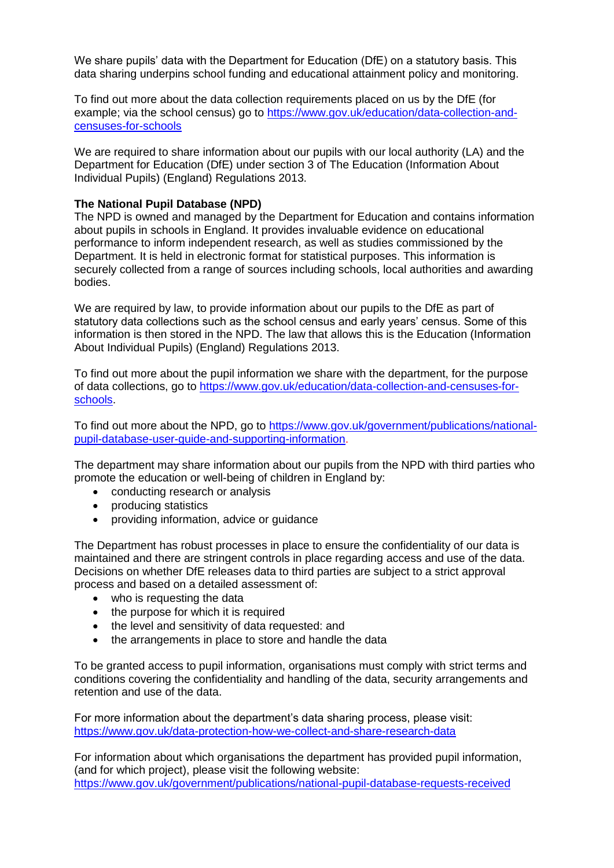We share pupils' data with the Department for Education (DfE) on a statutory basis. This data sharing underpins school funding and educational attainment policy and monitoring.

To find out more about the data collection requirements placed on us by the DfE (for example; via the school census) go to [https://www.gov.uk/education/data-collection-and](https://www.gov.uk/education/data-collection-and-censuses-for-schools)[censuses-for-schools](https://www.gov.uk/education/data-collection-and-censuses-for-schools)

We are required to share information about our pupils with our local authority (LA) and the Department for Education (DfE) under section 3 of The Education (Information About Individual Pupils) (England) Regulations 2013.

## **The National Pupil Database (NPD)**

The NPD is owned and managed by the Department for Education and contains information about pupils in schools in England. It provides invaluable evidence on educational performance to inform independent research, as well as studies commissioned by the Department. It is held in electronic format for statistical purposes. This information is securely collected from a range of sources including schools, local authorities and awarding bodies.

We are required by law, to provide information about our pupils to the DfE as part of statutory data collections such as the school census and early years' census. Some of this information is then stored in the NPD. The law that allows this is the Education (Information About Individual Pupils) (England) Regulations 2013.

To find out more about the pupil information we share with the department, for the purpose of data collections, go to [https://www.gov.uk/education/data-collection-and-censuses-for](https://www.gov.uk/education/data-collection-and-censuses-for-schools)[schools.](https://www.gov.uk/education/data-collection-and-censuses-for-schools)

To find out more about the NPD, go to [https://www.gov.uk/government/publications/national](https://www.gov.uk/government/publications/national-pupil-database-user-guide-and-supporting-information)[pupil-database-user-guide-and-supporting-information.](https://www.gov.uk/government/publications/national-pupil-database-user-guide-and-supporting-information)

The department may share information about our pupils from the NPD with third parties who promote the education or well-being of children in England by:

- conducting research or analysis
- producing statistics
- providing information, advice or guidance

The Department has robust processes in place to ensure the confidentiality of our data is maintained and there are stringent controls in place regarding access and use of the data. Decisions on whether DfE releases data to third parties are subject to a strict approval process and based on a detailed assessment of:

- who is requesting the data
- the purpose for which it is required
- the level and sensitivity of data requested: and
- the arrangements in place to store and handle the data

To be granted access to pupil information, organisations must comply with strict terms and conditions covering the confidentiality and handling of the data, security arrangements and retention and use of the data.

For more information about the department's data sharing process, please visit: <https://www.gov.uk/data-protection-how-we-collect-and-share-research-data>

For information about which organisations the department has provided pupil information, (and for which project), please visit the following website: <https://www.gov.uk/government/publications/national-pupil-database-requests-received>